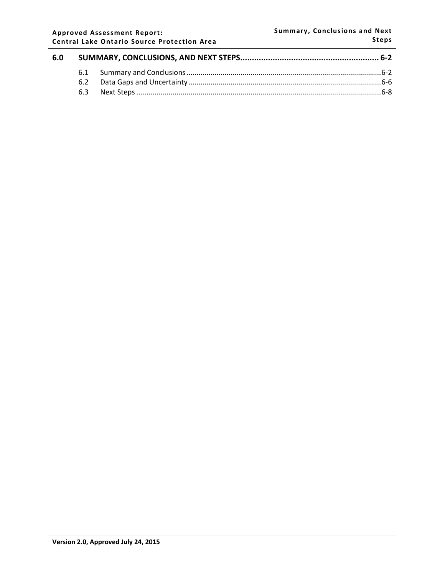#### **Approved Assessment Report: Central Lake Ontario Source Protection Area**

| 6.0 |  |  |  |
|-----|--|--|--|
|     |  |  |  |
|     |  |  |  |
|     |  |  |  |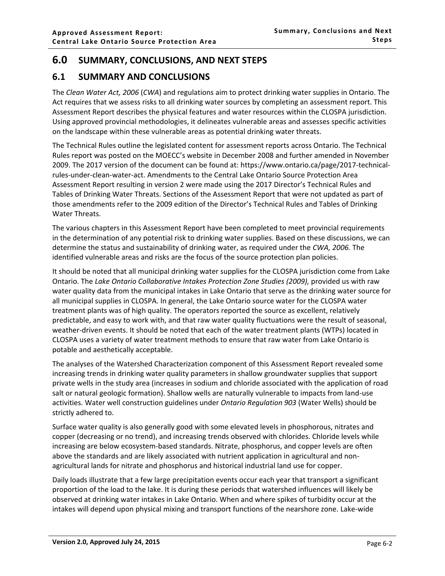# <span id="page-1-0"></span>**6.0 SUMMARY, CONCLUSIONS, AND NEXT STEPS**

## <span id="page-1-1"></span>**6.1 SUMMARY AND CONCLUSIONS**

The *Clean Water Act, 2006* (*CWA*) and regulations aim to protect drinking water supplies in Ontario. The Act requires that we assess risks to all drinking water sources by completing an assessment report. This Assessment Report describes the physical features and water resources within the CLOSPA jurisdiction. Using approved provincial methodologies, it delineates vulnerable areas and assesses specific activities on the landscape within these vulnerable areas as potential drinking water threats.

The Technical Rules outline the legislated content for assessment reports across Ontario. The Technical Rules report was posted on the MOECC's website in December 2008 and further amended in November 2009. The 2017 version of the document can be found at: https://www.ontario.ca/page/2017-technicalrules-under-clean-water-act. Amendments to the Central Lake Ontario Source Protection Area Assessment Report resulting in version 2 were made using the 2017 Director's Technical Rules and Tables of Drinking Water Threats. Sections of the Assessment Report that were not updated as part of those amendments refer to the 2009 edition of the Director's Technical Rules and Tables of Drinking Water Threats.

The various chapters in this Assessment Report have been completed to meet provincial requirements in the determination of any potential risk to drinking water supplies. Based on these discussions, we can determine the status and sustainability of drinking water, as required under the *CWA, 2006.* The identified vulnerable areas and risks are the focus of the source protection plan policies.

It should be noted that all municipal drinking water supplies for the CLOSPA jurisdiction come from Lake Ontario. The *Lake Ontario Collaborative Intakes Protection Zone Studies (2009),* provided us with raw water quality data from the municipal intakes in Lake Ontario that serve as the drinking water source for all municipal supplies in CLOSPA. In general, the Lake Ontario source water for the CLOSPA water treatment plants was of high quality. The operators reported the source as excellent, relatively predictable, and easy to work with, and that raw water quality fluctuations were the result of seasonal, weather-driven events. It should be noted that each of the water treatment plants (WTPs) located in CLOSPA uses a variety of water treatment methods to ensure that raw water from Lake Ontario is potable and aesthetically acceptable.

The analyses of the Watershed Characterization component of this Assessment Report revealed some increasing trends in drinking water quality parameters in shallow groundwater supplies that support private wells in the study area (increases in sodium and chloride associated with the application of road salt or natural geologic formation). Shallow wells are naturally vulnerable to impacts from land-use activities. Water well construction guidelines under *Ontario Regulation 903* (Water Wells) should be strictly adhered to.

Surface water quality is also generally good with some elevated levels in phosphorous, nitrates and copper (decreasing or no trend), and increasing trends observed with chlorides. Chloride levels while increasing are below ecosystem-based standards. Nitrate, phosphorus, and copper levels are often above the standards and are likely associated with nutrient application in agricultural and nonagricultural lands for nitrate and phosphorus and historical industrial land use for copper.

Daily loads illustrate that a few large precipitation events occur each year that transport a significant proportion of the load to the lake. It is during these periods that watershed influences will likely be observed at drinking water intakes in Lake Ontario. When and where spikes of turbidity occur at the intakes will depend upon physical mixing and transport functions of the nearshore zone. Lake-wide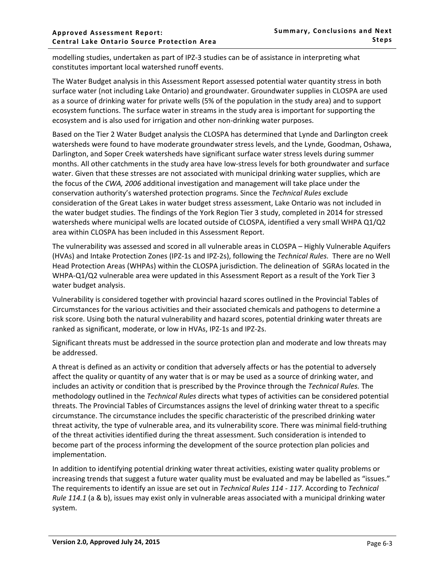modelling studies, undertaken as part of IPZ-3 studies can be of assistance in interpreting what constitutes important local watershed runoff events.

The Water Budget analysis in this Assessment Report assessed potential water quantity stress in both surface water (not including Lake Ontario) and groundwater. Groundwater supplies in CLOSPA are used as a source of drinking water for private wells (5% of the population in the study area) and to support ecosystem functions. The surface water in streams in the study area is important for supporting the ecosystem and is also used for irrigation and other non-drinking water purposes.

Based on the Tier 2 Water Budget analysis the CLOSPA has determined that Lynde and Darlington creek watersheds were found to have moderate groundwater stress levels, and the Lynde, Goodman, Oshawa, Darlington, and Soper Creek watersheds have significant surface water stress levels during summer months. All other catchments in the study area have low-stress levels for both groundwater and surface water. Given that these stresses are not associated with municipal drinking water supplies, which are the focus of the *CWA, 2006* additional investigation and management will take place under the conservation authority's watershed protection programs. Since the *Technical Rules* exclude consideration of the Great Lakes in water budget stress assessment, Lake Ontario was not included in the water budget studies. The findings of the York Region Tier 3 study, completed in 2014 for stressed watersheds where municipal wells are located outside of CLOSPA, identified a very small WHPA Q1/Q2 area within CLOSPA has been included in this Assessment Report.

The vulnerability was assessed and scored in all vulnerable areas in CLOSPA – Highly Vulnerable Aquifers (HVAs) and Intake Protection Zones (IPZ-1s and IPZ-2s), following the *Technical Rules.* There are no Well Head Protection Areas (WHPAs) within the CLOSPA jurisdiction. The delineation of SGRAs located in the WHPA-Q1/Q2 vulnerable area were updated in this Assessment Report as a result of the York Tier 3 water budget analysis.

Vulnerability is considered together with provincial hazard scores outlined in the Provincial Tables of Circumstances for the various activities and their associated chemicals and pathogens to determine a risk score. Using both the natural vulnerability and hazard scores, potential drinking water threats are ranked as significant, moderate, or low in HVAs, IPZ-1s and IPZ-2s.

Significant threats must be addressed in the source protection plan and moderate and low threats may be addressed.

A threat is defined as an activity or condition that adversely affects or has the potential to adversely affect the quality or quantity of any water that is or may be used as a source of drinking water, and includes an activity or condition that is prescribed by the Province through the *Technical Rules.* The methodology outlined in the *Technical Rules* directs what types of activities can be considered potential threats. The Provincial Tables of Circumstances assigns the level of drinking water threat to a specific circumstance. The circumstance includes the specific characteristic of the prescribed drinking water threat activity, the type of vulnerable area, and its vulnerability score*.* There was minimal field-truthing of the threat activities identified during the threat assessment. Such consideration is intended to become part of the process informing the development of the source protection plan policies and implementation.

In addition to identifying potential drinking water threat activities, existing water quality problems or increasing trends that suggest a future water quality must be evaluated and may be labelled as "issues." The requirements to identify an issue are set out in *Technical Rules 114 - 117*. According to *Technical Rule 114.1* (a & b), issues may exist only in vulnerable areas associated with a municipal drinking water system.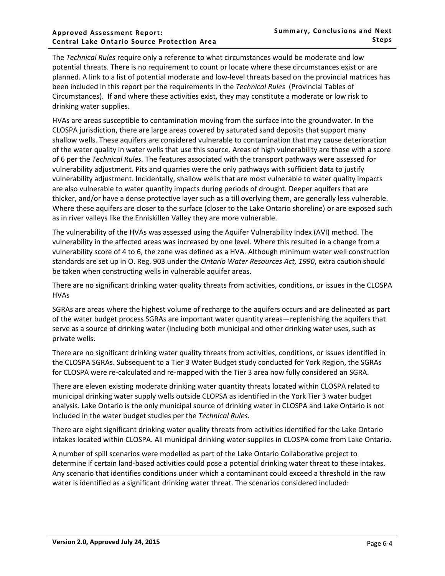#### **Approved Assessment Report: Central Lake Ontario Source Protection Area**

The *Technical Rules* require only a reference to what circumstances would be moderate and low potential threats. There is no requirement to count or locate where these circumstances exist or are planned. A link to a list of potential moderate and low-level threats based on the provincial matrices has been included in this report per the requirements in the *Technical Rules* (Provincial Tables of Circumstances). If and where these activities exist, they may constitute a moderate or low risk to drinking water supplies.

HVAs are areas susceptible to contamination moving from the surface into the groundwater. In the CLOSPA jurisdiction, there are large areas covered by saturated sand deposits that support many shallow wells. These aquifers are considered vulnerable to contamination that may cause deterioration of the water quality in water wells that use this source. Areas of high vulnerability are those with a score of 6 per the *Technical Rules.* The features associated with the transport pathways were assessed for vulnerability adjustment. Pits and quarries were the only pathways with sufficient data to justify vulnerability adjustment. Incidentally, shallow wells that are most vulnerable to water quality impacts are also vulnerable to water quantity impacts during periods of drought. Deeper aquifers that are thicker, and/or have a dense protective layer such as a till overlying them, are generally less vulnerable. Where these aquifers are closer to the surface (closer to the Lake Ontario shoreline) or are exposed such as in river valleys like the Enniskillen Valley they are more vulnerable.

The vulnerability of the HVAs was assessed using the Aquifer Vulnerability Index (AVI) method. The vulnerability in the affected areas was increased by one level. Where this resulted in a change from a vulnerability score of 4 to 6, the zone was defined as a HVA. Although minimum water well construction standards are set up in O. Reg. 903 under the *Ontario Water Resources Act, 1990*, extra caution should be taken when constructing wells in vulnerable aquifer areas.

There are no significant drinking water quality threats from activities, conditions, or issues in the CLOSPA HVAs

SGRAs are areas where the highest volume of recharge to the aquifers occurs and are delineated as part of the water budget process SGRAs are important water quantity areas—replenishing the aquifers that serve as a source of drinking water (including both municipal and other drinking water uses, such as private wells.

There are no significant drinking water quality threats from activities, conditions, or issues identified in the CLOSPA SGRAs. Subsequent to a Tier 3 Water Budget study conducted for York Region, the SGRAs for CLOSPA were re-calculated and re-mapped with the Tier 3 area now fully considered an SGRA.

There are eleven existing moderate drinking water quantity threats located within CLOSPA related to municipal drinking water supply wells outside CLOPSA as identified in the York Tier 3 water budget analysis. Lake Ontario is the only municipal source of drinking water in CLOSPA and Lake Ontario is not included in the water budget studies per the *Technical Rules.*

There are eight significant drinking water quality threats from activities identified for the Lake Ontario intakes located within CLOSPA. All municipal drinking water supplies in CLOSPA come from Lake Ontario**.**

A number of spill scenarios were modelled as part of the Lake Ontario Collaborative project to determine if certain land-based activities could pose a potential drinking water threat to these intakes. Any scenario that identifies conditions under which a contaminant could exceed a threshold in the raw water is identified as a significant drinking water threat. The scenarios considered included: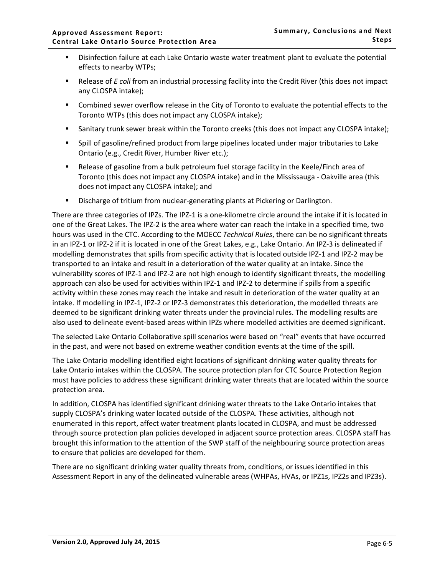- Disinfection failure at each Lake Ontario waste water treatment plant to evaluate the potential effects to nearby WTPs;
- Release of *E coli* from an industrial processing facility into the Credit River (this does not impact any CLOSPA intake);
- Combined sewer overflow release in the City of Toronto to evaluate the potential effects to the Toronto WTPs (this does not impact any CLOSPA intake);
- Sanitary trunk sewer break within the Toronto creeks (this does not impact any CLOSPA intake);
- Spill of gasoline/refined product from large pipelines located under major tributaries to Lake Ontario (e.g., Credit River, Humber River etc.);
- Release of gasoline from a bulk petroleum fuel storage facility in the Keele/Finch area of Toronto (this does not impact any CLOSPA intake) and in the Mississauga - Oakville area (this does not impact any CLOSPA intake); and
- **E** Discharge of tritium from nuclear-generating plants at Pickering or Darlington.

There are three categories of IPZs. The IPZ-1 is a one-kilometre circle around the intake if it is located in one of the Great Lakes. The IPZ-2 is the area where water can reach the intake in a specified time, two hours was used in the CTC. According to the MOECC *Technical Rules*, there can be no significant threats in an IPZ-1 or IPZ-2 if it is located in one of the Great Lakes, e.g., Lake Ontario. An IPZ-3 is delineated if modelling demonstrates that spills from specific activity that is located outside IPZ-1 and IPZ-2 may be transported to an intake and result in a deterioration of the water quality at an intake. Since the vulnerability scores of IPZ-1 and IPZ-2 are not high enough to identify significant threats, the modelling approach can also be used for activities within IPZ-1 and IPZ-2 to determine if spills from a specific activity within these zones may reach the intake and result in deterioration of the water quality at an intake. If modelling in IPZ-1, IPZ-2 or IPZ-3 demonstrates this deterioration, the modelled threats are deemed to be significant drinking water threats under the provincial rules. The modelling results are also used to delineate event-based areas within IPZs where modelled activities are deemed significant.

The selected Lake Ontario Collaborative spill scenarios were based on "real" events that have occurred in the past, and were not based on extreme weather condition events at the time of the spill.

The Lake Ontario modelling identified eight locations of significant drinking water quality threats for Lake Ontario intakes within the CLOSPA. The source protection plan for CTC Source Protection Region must have policies to address these significant drinking water threats that are located within the source protection area.

In addition, CLOSPA has identified significant drinking water threats to the Lake Ontario intakes that supply CLOSPA's drinking water located outside of the CLOSPA. These activities, although not enumerated in this report, affect water treatment plants located in CLOSPA, and must be addressed through source protection plan policies developed in adjacent source protection areas. CLOSPA staff has brought this information to the attention of the SWP staff of the neighbouring source protection areas to ensure that policies are developed for them.

There are no significant drinking water quality threats from, conditions, or issues identified in this Assessment Report in any of the delineated vulnerable areas (WHPAs, HVAs, or IPZ1s, IPZ2s and IPZ3s).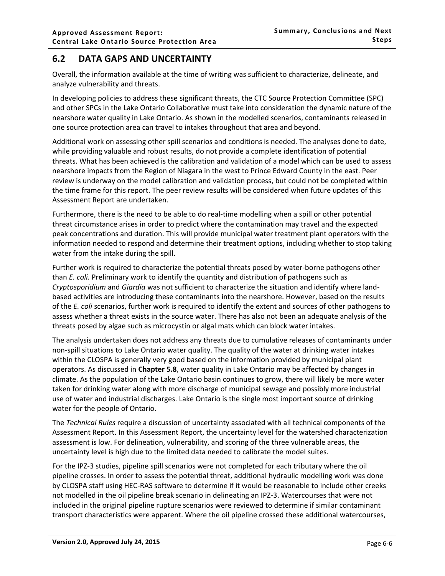## <span id="page-5-0"></span>**6.2 DATA GAPS AND UNCERTAINTY**

Overall, the information available at the time of writing was sufficient to characterize, delineate, and analyze vulnerability and threats.

In developing policies to address these significant threats, the CTC Source Protection Committee (SPC) and other SPCs in the Lake Ontario Collaborative must take into consideration the dynamic nature of the nearshore water quality in Lake Ontario. As shown in the modelled scenarios, contaminants released in one source protection area can travel to intakes throughout that area and beyond.

Additional work on assessing other spill scenarios and conditions is needed. The analyses done to date, while providing valuable and robust results, do not provide a complete identification of potential threats. What has been achieved is the calibration and validation of a model which can be used to assess nearshore impacts from the Region of Niagara in the west to Prince Edward County in the east. Peer review is underway on the model calibration and validation process, but could not be completed within the time frame for this report. The peer review results will be considered when future updates of this Assessment Report are undertaken.

Furthermore, there is the need to be able to do real-time modelling when a spill or other potential threat circumstance arises in order to predict where the contamination may travel and the expected peak concentrations and duration. This will provide municipal water treatment plant operators with the information needed to respond and determine their treatment options, including whether to stop taking water from the intake during the spill.

Further work is required to characterize the potential threats posed by water-borne pathogens other than *E. coli.* Preliminary work to identify the quantity and distribution of pathogens such as *Cryptosporidium* and *Giardia* was not sufficient to characterize the situation and identify where landbased activities are introducing these contaminants into the nearshore. However, based on the results of the *E. coli* scenarios, further work is required to identify the extent and sources of other pathogens to assess whether a threat exists in the source water. There has also not been an adequate analysis of the threats posed by algae such as microcystin or algal mats which can block water intakes.

The analysis undertaken does not address any threats due to cumulative releases of contaminants under non-spill situations to Lake Ontario water quality. The quality of the water at drinking water intakes within the CLOSPA is generally very good based on the information provided by municipal plant operators. As discussed in **Chapter 5.8**, water quality in Lake Ontario may be affected by changes in climate. As the population of the Lake Ontario basin continues to grow, there will likely be more water taken for drinking water along with more discharge of municipal sewage and possibly more industrial use of water and industrial discharges. Lake Ontario is the single most important source of drinking water for the people of Ontario.

The *Technical Rules* require a discussion of uncertainty associated with all technical components of the Assessment Report. In this Assessment Report, the uncertainty level for the watershed characterization assessment is low. For delineation, vulnerability, and scoring of the three vulnerable areas, the uncertainty level is high due to the limited data needed to calibrate the model suites.

For the IPZ-3 studies, pipeline spill scenarios were not completed for each tributary where the oil pipeline crosses. In order to assess the potential threat, additional hydraulic modelling work was done by CLOSPA staff using HEC-RAS software to determine if it would be reasonable to include other creeks not modelled in the oil pipeline break scenario in delineating an IPZ-3. Watercourses that were not included in the original pipeline rupture scenarios were reviewed to determine if similar contaminant transport characteristics were apparent. Where the oil pipeline crossed these additional watercourses,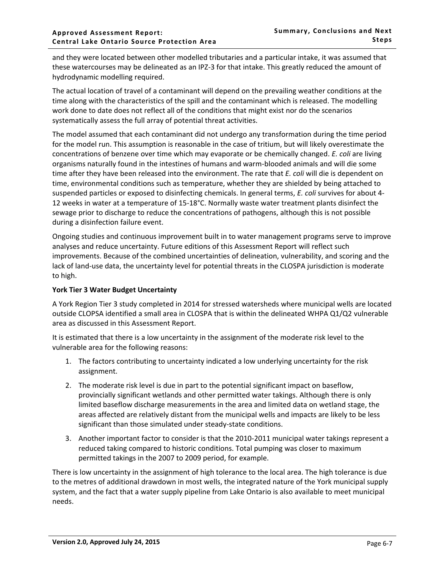and they were located between other modelled tributaries and a particular intake, it was assumed that these watercourses may be delineated as an IPZ-3 for that intake. This greatly reduced the amount of hydrodynamic modelling required.

The actual location of travel of a contaminant will depend on the prevailing weather conditions at the time along with the characteristics of the spill and the contaminant which is released. The modelling work done to date does not reflect all of the conditions that might exist nor do the scenarios systematically assess the full array of potential threat activities.

The model assumed that each contaminant did not undergo any transformation during the time period for the model run. This assumption is reasonable in the case of tritium, but will likely overestimate the concentrations of benzene over time which may evaporate or be chemically changed. *E. coli* are living organisms naturally found in the intestines of humans and warm-blooded animals and will die some time after they have been released into the environment. The rate that *E. coli* will die is dependent on time, environmental conditions such as temperature, whether they are shielded by being attached to suspended particles or exposed to disinfecting chemicals. In general terms, *E. coli* survives for about 4- 12 weeks in water at a temperature of 15-18°C. Normally waste water treatment plants disinfect the sewage prior to discharge to reduce the concentrations of pathogens, although this is not possible during a disinfection failure event.

Ongoing studies and continuous improvement built in to water management programs serve to improve analyses and reduce uncertainty. Future editions of this Assessment Report will reflect such improvements. Because of the combined uncertainties of delineation, vulnerability, and scoring and the lack of land-use data, the uncertainty level for potential threats in the CLOSPA jurisdiction is moderate to high.

### **York Tier 3 Water Budget Uncertainty**

A York Region Tier 3 study completed in 2014 for stressed watersheds where municipal wells are located outside CLOPSA identified a small area in CLOSPA that is within the delineated WHPA Q1/Q2 vulnerable area as discussed in this Assessment Report.

It is estimated that there is a low uncertainty in the assignment of the moderate risk level to the vulnerable area for the following reasons:

- 1. The factors contributing to uncertainty indicated a low underlying uncertainty for the risk assignment.
- 2. The moderate risk level is due in part to the potential significant impact on baseflow, provincially significant wetlands and other permitted water takings. Although there is only limited baseflow discharge measurements in the area and limited data on wetland stage, the areas affected are relatively distant from the municipal wells and impacts are likely to be less significant than those simulated under steady-state conditions.
- 3. Another important factor to consider is that the 2010-2011 municipal water takings represent a reduced taking compared to historic conditions. Total pumping was closer to maximum permitted takings in the 2007 to 2009 period, for example.

There is low uncertainty in the assignment of high tolerance to the local area. The high tolerance is due to the metres of additional drawdown in most wells, the integrated nature of the York municipal supply system, and the fact that a water supply pipeline from Lake Ontario is also available to meet municipal needs.